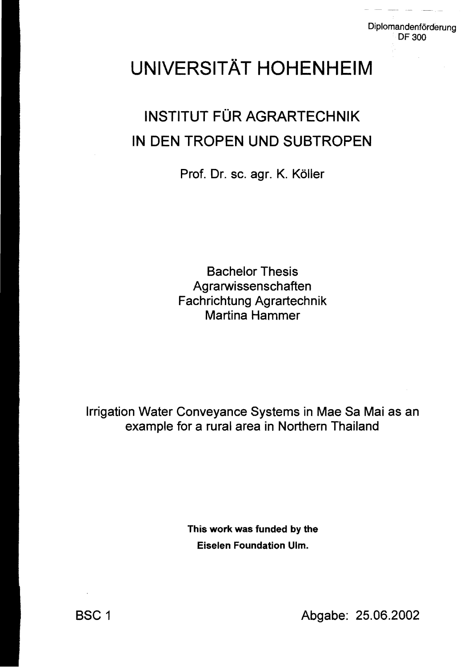## UNIVERSITÄT HOHENHEIM

## INSTITUT FÜR AGRARTECHNIK IN DEN TROPEN UND SUBTROPEN

Prof. Dr. sc. agr. K. Köller

Bachelor Thesis **Agrarwissenschaften** Fachrichtung Agrartechnik Martina Hammer

Irrigation Water Conveyance Systems in Mae Sa Mai as an example for a rural area in Northern Thailand

> This work was funded by the Eiselen Foundation Ulm.

BSC 1 Abgabe: 25.06.2002